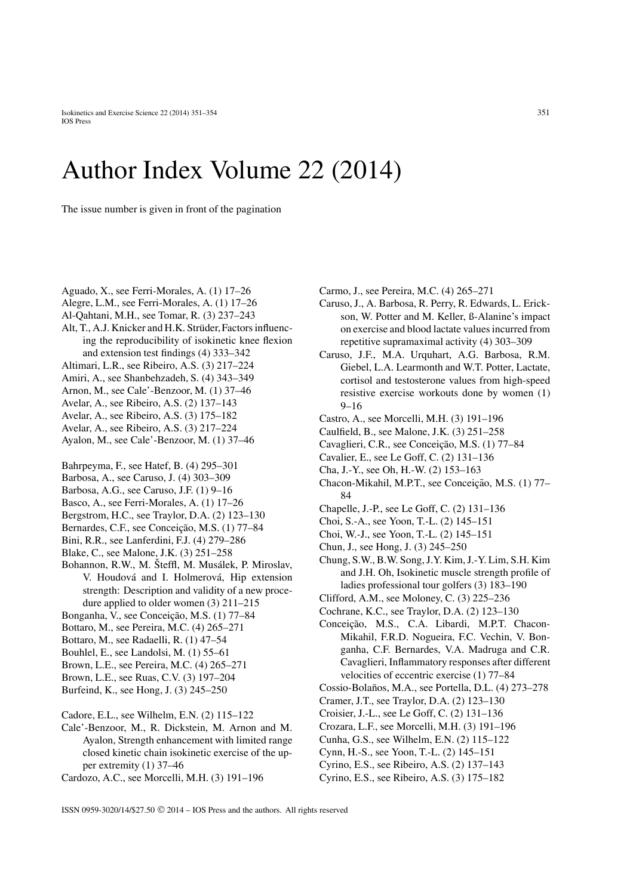## Author Index Volume 22 (2014)

The issue number is given in front of the pagination

- Aguado, X., see Ferri-Morales, A. (1) 17–26
- Alegre, L.M., see Ferri-Morales, A. (1) 17–26
- Al-Qahtani, M.H., see Tomar, R. (3) 237–243
- Alt, T., A.J. Knicker and H.K. Strüder, Factors influencing the reproducibility of isokinetic knee flexion and extension test findings (4) 333–342
- Altimari, L.R., see Ribeiro, A.S. (3) 217–224
- Amiri, A., see Shanbehzadeh, S. (4) 343–349
- Arnon, M., see Cale'-Benzoor, M. (1) 37–46
- Avelar, A., see Ribeiro, A.S. (2) 137–143
- Avelar, A., see Ribeiro, A.S. (3) 175–182
- Avelar, A., see Ribeiro, A.S. (3) 217–224
- Ayalon, M., see Cale'-Benzoor, M. (1) 37–46
- Bahrpeyma, F., see Hatef, B. (4) 295–301
- Barbosa, A., see Caruso, J. (4) 303–309
- Barbosa, A.G., see Caruso, J.F. (1) 9–16
- Basco, A., see Ferri-Morales, A. (1) 17–26
- Bergstrom, H.C., see Traylor, D.A. (2) 123–130
- Bernardes, C.F., see Conceição, M.S. (1) 77-84
- Bini, R.R., see Lanferdini, F.J. (4) 279–286
- Blake, C., see Malone, J.K. (3) 251–258
- Bohannon, R.W., M. Šteffl, M. Musálek, P. Miroslav, V. Houdová and I. Holmerová, Hip extension strength: Description and validity of a new procedure applied to older women (3) 211–215
- Bonganha, V., see Conceição, M.S. (1) 77-84
- Bottaro, M., see Pereira, M.C. (4) 265–271
- Bottaro, M., see Radaelli, R. (1) 47–54
- Bouhlel, E., see Landolsi, M. (1) 55–61
- Brown, L.E., see Pereira, M.C. (4) 265–271
- Brown, L.E., see Ruas, C.V. (3) 197–204 Burfeind, K., see Hong, J. (3) 245–250
- 
- Cadore, E.L., see Wilhelm, E.N. (2) 115–122
- Cale'-Benzoor, M., R. Dickstein, M. Arnon and M. Ayalon, Strength enhancement with limited range closed kinetic chain isokinetic exercise of the upper extremity (1) 37–46
- Cardozo, A.C., see Morcelli, M.H. (3) 191–196
- Carmo, J., see Pereira, M.C. (4) 265–271
- Caruso, J., A. Barbosa, R. Perry, R. Edwards, L. Erickson, W. Potter and M. Keller, ß-Alanine's impact on exercise and blood lactate values incurred from repetitive supramaximal activity (4) 303–309
- Caruso, J.F., M.A. Urquhart, A.G. Barbosa, R.M. Giebel, L.A. Learmonth and W.T. Potter, Lactate, cortisol and testosterone values from high-speed resistive exercise workouts done by women (1) 9–16
- Castro, A., see Morcelli, M.H. (3) 191–196
- Caulfield, B., see Malone, J.K. (3) 251–258
- Cavaglieri, C.R., see Conceição, M.S. (1) 77–84
- Cavalier, E., see Le Goff, C. (2) 131–136
- Cha, J.-Y., see Oh, H.-W. (2) 153–163
- Chacon-Mikahil, M.P.T., see Conceição, M.S. (1) 77– 84
- Chapelle, J.-P., see Le Goff, C. (2) 131–136
- Choi, S.-A., see Yoon, T.-L. (2) 145–151
- Choi, W.-J., see Yoon, T.-L. (2) 145–151
- Chun, J., see Hong, J. (3) 245–250
- Chung, S.W., B.W. Song, J.Y. Kim, J.-Y. Lim, S.H. Kim and J.H. Oh, Isokinetic muscle strength profile of ladies professional tour golfers (3) 183–190
- Clifford, A.M., see Moloney, C. (3) 225–236
- Cochrane, K.C., see Traylor, D.A. (2) 123–130
- Conceição, M.S., C.A. Libardi, M.P.T. Chacon-Mikahil, F.R.D. Nogueira, F.C. Vechin, V. Bonganha, C.F. Bernardes, V.A. Madruga and C.R. Cavaglieri, Inflammatory responses after different velocities of eccentric exercise (1) 77–84
- Cossio-Bolaños, M.A., see Portella, D.L. (4) 273–278
- Cramer, J.T., see Traylor, D.A. (2) 123–130
- Croisier, J.-L., see Le Goff, C. (2) 131–136
- Crozara, L.F., see Morcelli, M.H. (3) 191–196
- Cunha, G.S., see Wilhelm, E.N. (2) 115–122
- Cynn, H.-S., see Yoon, T.-L. (2) 145–151
- Cyrino, E.S., see Ribeiro, A.S. (2) 137–143
- Cyrino, E.S., see Ribeiro, A.S. (3) 175–182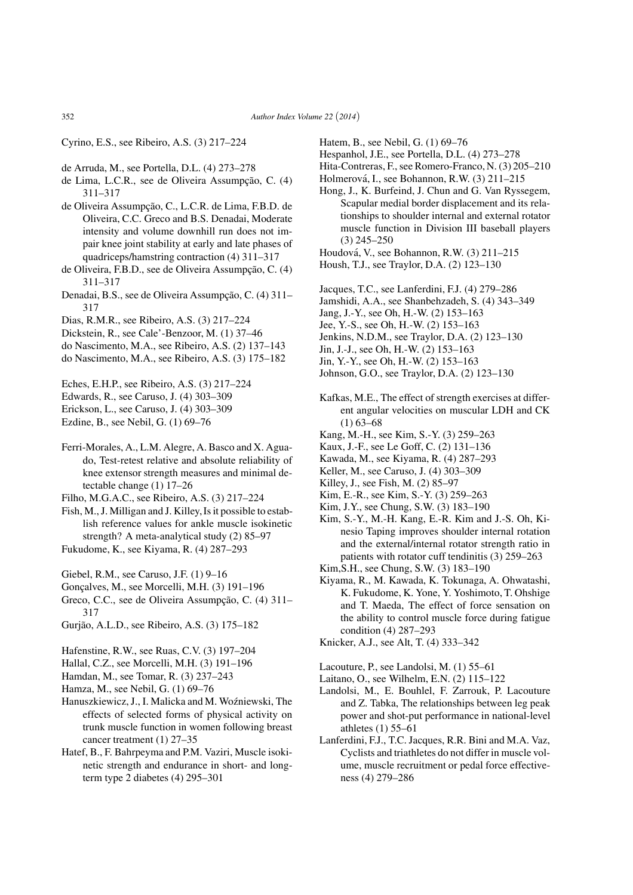Cyrino, E.S., see Ribeiro, A.S. (3) 217–224

- de Arruda, M., see Portella, D.L. (4) 273–278
- de Lima, L.C.R., see de Oliveira Assumpção, C.  $(4)$ 311–317
- de Oliveira Assumpção, C., L.C.R. de Lima, F.B.D. de Oliveira, C.C. Greco and B.S. Denadai, Moderate intensity and volume downhill run does not impair knee joint stability at early and late phases of quadriceps/hamstring contraction (4) 311–317
- de Oliveira, F.B.D., see de Oliveira Assumpção, C. (4) 311–317
- Denadai, B.S., see de Oliveira Assumpção, C. (4) 311– 317
- Dias, R.M.R., see Ribeiro, A.S. (3) 217–224
- Dickstein, R., see Cale'-Benzoor, M. (1) 37–46
- do Nascimento, M.A., see Ribeiro, A.S. (2) 137–143
- do Nascimento, M.A., see Ribeiro, A.S. (3) 175–182
- Eches, E.H.P., see Ribeiro, A.S. (3) 217–224
- Edwards, R., see Caruso, J. (4) 303–309
- Erickson, L., see Caruso, J. (4) 303–309
- Ezdine, B., see Nebil, G. (1) 69–76
- Ferri-Morales, A., L.M. Alegre, A. Basco and X. Aguado, Test-retest relative and absolute reliability of knee extensor strength measures and minimal detectable change (1) 17–26
- Filho, M.G.A.C., see Ribeiro, A.S. (3) 217–224
- Fish, M., J. Milligan and J. Killey, Is it possible to establish reference values for ankle muscle isokinetic strength? A meta-analytical study (2) 85–97 Fukudome, K., see Kiyama, R. (4) 287–293
- Giebel, R.M., see Caruso, J.F. (1) 9–16
- Gonçalves, M., see Morcelli, M.H. (3) 191-196
- Greco, C.C., see de Oliveira Assumpção, C. (4) 311-317
- Gurjao, A.L.D., see Ribeiro, A.S. (3) 175–182 ˜
- Hafenstine, R.W., see Ruas, C.V. (3) 197–204
- Hallal, C.Z., see Morcelli, M.H. (3) 191–196
- Hamdan, M., see Tomar, R. (3) 237–243
- Hamza, M., see Nebil, G. (1) 69–76
- Hanuszkiewicz, J., I. Malicka and M. Woźniewski, The effects of selected forms of physical activity on trunk muscle function in women following breast cancer treatment (1) 27–35
- Hatef, B., F. Bahrpeyma and P.M. Vaziri, Muscle isokinetic strength and endurance in short- and longterm type 2 diabetes (4) 295–301
- Hatem, B., see Nebil, G. (1) 69–76
- Hespanhol, J.E., see Portella, D.L. (4) 273–278
- Hita-Contreras, F., see Romero-Franco, N. (3) 205–210
- Holmerová, I., see Bohannon, R.W. (3) 211–215
- Hong, J., K. Burfeind, J. Chun and G. Van Ryssegem, Scapular medial border displacement and its relationships to shoulder internal and external rotator muscle function in Division III baseball players (3) 245–250
- Houdova, V., see Bohannon, R.W. (3) 211–215 ´
- Housh, T.J., see Traylor, D.A. (2) 123–130
- Jacques, T.C., see Lanferdini, F.J. (4) 279–286
- Jamshidi, A.A., see Shanbehzadeh, S. (4) 343–349
- Jang, J.-Y., see Oh, H.-W. (2) 153–163
- Jee, Y.-S., see Oh, H.-W. (2) 153–163
- Jenkins, N.D.M., see Traylor, D.A. (2) 123–130
- Jin, J.-J., see Oh, H.-W. (2) 153–163
- Jin, Y.-Y., see Oh, H.-W. (2) 153–163
- Johnson, G.O., see Traylor, D.A. (2) 123–130
- Kafkas, M.E., The effect of strength exercises at different angular velocities on muscular LDH and CK  $(1)$  63–68
- Kang, M.-H., see Kim, S.-Y. (3) 259–263
- Kaux, J.-F., see Le Goff, C. (2) 131–136
- Kawada, M., see Kiyama, R. (4) 287–293
- Keller, M., see Caruso, J. (4) 303–309
- Killey, J., see Fish, M. (2) 85–97
- Kim, E.-R., see Kim, S.-Y. (3) 259–263 Kim, J.Y., see Chung, S.W. (3) 183–190
- Kim, S.-Y., M.-H. Kang, E.-R. Kim and J.-S. Oh, Kinesio Taping improves shoulder internal rotation and the external/internal rotator strength ratio in patients with rotator cuff tendinitis (3) 259–263
- Kim,S.H., see Chung, S.W. (3) 183–190
- Kiyama, R., M. Kawada, K. Tokunaga, A. Ohwatashi, K. Fukudome, K. Yone, Y. Yoshimoto, T. Ohshige and T. Maeda, The effect of force sensation on the ability to control muscle force during fatigue condition (4) 287–293
- Knicker, A.J., see Alt, T. (4) 333–342

Lacouture, P., see Landolsi, M. (1) 55–61

- Laitano, O., see Wilhelm, E.N. (2) 115–122
- Landolsi, M., E. Bouhlel, F. Zarrouk, P. Lacouture and Z. Tabka, The relationships between leg peak power and shot-put performance in national-level athletes (1) 55–61
- Lanferdini, F.J., T.C. Jacques, R.R. Bini and M.A. Vaz, Cyclists and triathletes do not differ in muscle volume, muscle recruitment or pedal force effectiveness (4) 279–286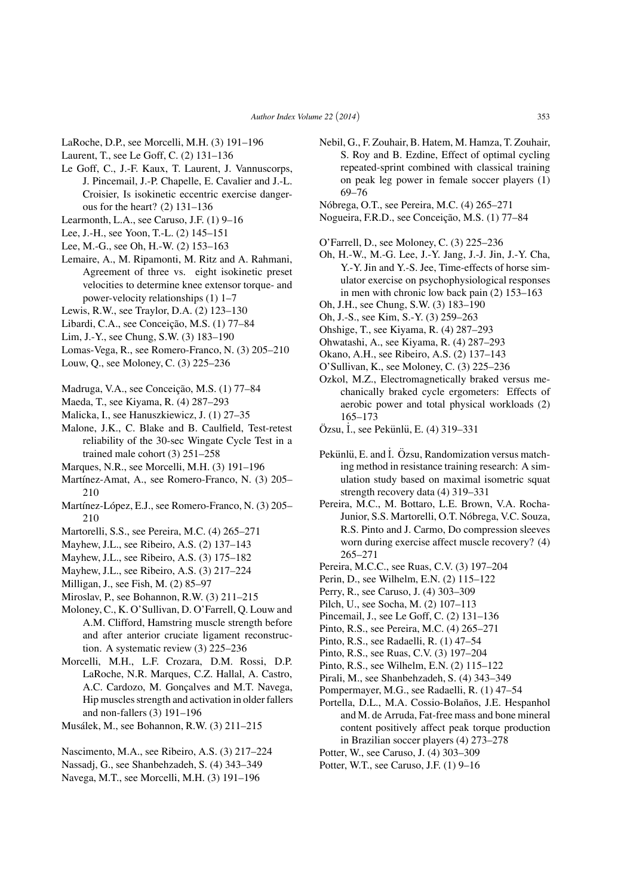- LaRoche, D.P., see Morcelli, M.H. (3) 191–196
- Laurent, T., see Le Goff, C. (2) 131–136
- Le Goff, C., J.-F. Kaux, T. Laurent, J. Vannuscorps, J. Pincemail, J.-P. Chapelle, E. Cavalier and J.-L. Croisier, Is isokinetic eccentric exercise dangerous for the heart? (2) 131–136
- Learmonth, L.A., see Caruso, J.F. (1) 9–16
- Lee, J.-H., see Yoon, T.-L. (2) 145–151
- Lee, M.-G., see Oh, H.-W. (2) 153–163
- Lemaire, A., M. Ripamonti, M. Ritz and A. Rahmani, Agreement of three vs. eight isokinetic preset velocities to determine knee extensor torque- and power-velocity relationships (1) 1–7
- Lewis, R.W., see Traylor, D.A. (2) 123–130
- Libardi, C.A., see Conceição, M.S. (1) 77–84
- Lim, J.-Y., see Chung, S.W. (3) 183–190
- Lomas-Vega, R., see Romero-Franco, N. (3) 205–210
- Louw, Q., see Moloney, C. (3) 225–236
- Madruga, V.A., see Conceição, M.S. (1) 77-84
- Maeda, T., see Kiyama, R. (4) 287–293
- Malicka, I., see Hanuszkiewicz, J. (1) 27–35
- Malone, J.K., C. Blake and B. Caulfield, Test-retest reliability of the 30-sec Wingate Cycle Test in a trained male cohort (3) 251–258
- Marques, N.R., see Morcelli, M.H. (3) 191–196
- Martínez-Amat, A., see Romero-Franco, N. (3) 205– 210
- Martínez-López, E.J., see Romero-Franco, N. (3) 205– 210
- Martorelli, S.S., see Pereira, M.C. (4) 265–271
- Mayhew, J.L., see Ribeiro, A.S. (2) 137–143
- Mayhew, J.L., see Ribeiro, A.S. (3) 175–182
- Mayhew, J.L., see Ribeiro, A.S. (3) 217–224
- Milligan, J., see Fish, M. (2) 85–97
- Miroslav, P., see Bohannon, R.W. (3) 211–215
- Moloney, C., K. O'Sullivan, D. O'Farrell, Q. Louw and A.M. Clifford, Hamstring muscle strength before and after anterior cruciate ligament reconstruction. A systematic review (3) 225–236
- Morcelli, M.H., L.F. Crozara, D.M. Rossi, D.P. LaRoche, N.R. Marques, C.Z. Hallal, A. Castro, A.C. Cardozo, M. Gonçalves and M.T. Navega, Hip muscles strength and activation in older fallers and non-fallers (3) 191–196
- Musalek, M., see Bohannon, R.W. (3) 211–215 ´

Nascimento, M.A., see Ribeiro, A.S. (3) 217–224

- Nassadj, G., see Shanbehzadeh, S. (4) 343–349
- Navega, M.T., see Morcelli, M.H. (3) 191–196
- Nebil, G., F. Zouhair, B. Hatem, M. Hamza, T. Zouhair, S. Roy and B. Ezdine, Effect of optimal cycling repeated-sprint combined with classical training on peak leg power in female soccer players (1) 69–76
- Nobrega, O.T., see Pereira, M.C. (4) 265–271 ´
- Nogueira, F.R.D., see Conceição, M.S. (1) 77–84
- O'Farrell, D., see Moloney, C. (3) 225–236
- Oh, H.-W., M.-G. Lee, J.-Y. Jang, J.-J. Jin, J.-Y. Cha, Y.-Y. Jin and Y.-S. Jee, Time-effects of horse simulator exercise on psychophysiological responses in men with chronic low back pain (2) 153–163
- Oh, J.H., see Chung, S.W. (3) 183–190
- Oh, J.-S., see Kim, S.-Y. (3) 259–263
- Ohshige, T., see Kiyama, R. (4) 287–293
- Ohwatashi, A., see Kiyama, R. (4) 287–293
- Okano, A.H., see Ribeiro, A.S. (2) 137–143
- O'Sullivan, K., see Moloney, C. (3) 225–236
- Ozkol, M.Z., Electromagnetically braked versus mechanically braked cycle ergometers: Effects of aerobic power and total physical workloads (2) 165–173
- $\ddot{O}$ zsu, İ., see Pekünlü, E. (4) 319–331
- Pekünlü, E. and İ. Özsu, Randomization versus matching method in resistance training research: A simulation study based on maximal isometric squat strength recovery data (4) 319–331
- Pereira, M.C., M. Bottaro, L.E. Brown, V.A. Rocha-Junior, S.S. Martorelli, O.T. Nóbrega, V.C. Souza, R.S. Pinto and J. Carmo, Do compression sleeves worn during exercise affect muscle recovery? (4) 265–271
- Pereira, M.C.C., see Ruas, C.V. (3) 197–204
- Perin, D., see Wilhelm, E.N. (2) 115–122
- Perry, R., see Caruso, J. (4) 303–309
- Pilch, U., see Socha, M. (2) 107–113
- Pincemail, J., see Le Goff, C. (2) 131–136
- Pinto, R.S., see Pereira, M.C. (4) 265–271
- Pinto, R.S., see Radaelli, R. (1) 47–54
- Pinto, R.S., see Ruas, C.V. (3) 197–204
- Pinto, R.S., see Wilhelm, E.N. (2) 115–122
- Pirali, M., see Shanbehzadeh, S. (4) 343–349
- Pompermayer, M.G., see Radaelli, R. (1) 47–54
- Portella, D.L., M.A. Cossio-Bolaños, J.E. Hespanhol and M. de Arruda, Fat-free mass and bone mineral content positively affect peak torque production in Brazilian soccer players (4) 273–278
- Potter, W., see Caruso, J. (4) 303–309
- Potter, W.T., see Caruso, J.F. (1) 9–16